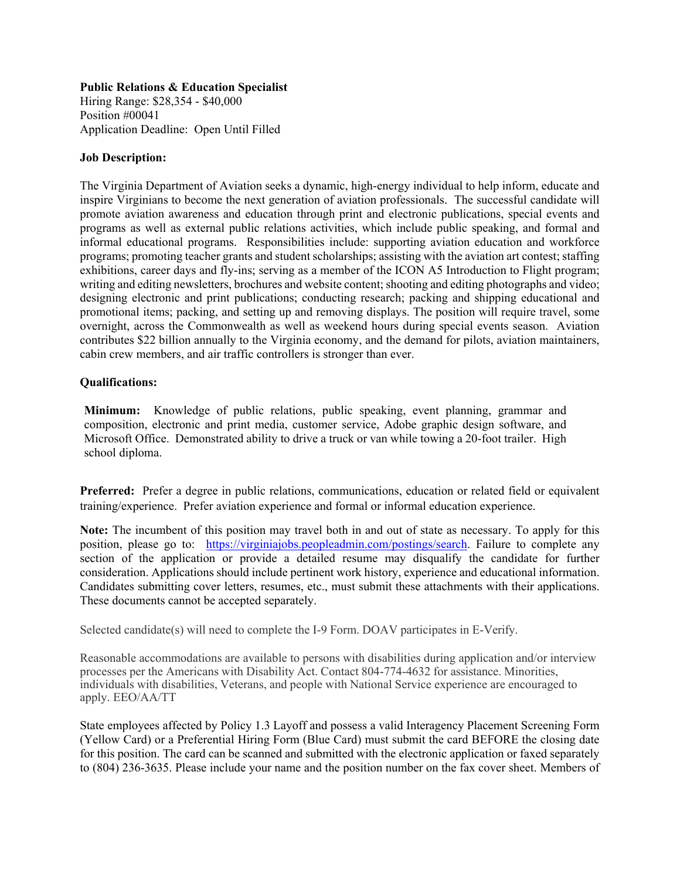## **Public Relations & Education Specialist**

Hiring Range: \$28,354 - \$40,000 Position #00041 Application Deadline: Open Until Filled

## **Job Description:**

The Virginia Department of Aviation seeks a dynamic, high-energy individual to help inform, educate and inspire Virginians to become the next generation of aviation professionals. The successful candidate will promote aviation awareness and education through print and electronic publications, special events and programs as well as external public relations activities, which include public speaking, and formal and informal educational programs. Responsibilities include: supporting aviation education and workforce programs; promoting teacher grants and student scholarships; assisting with the aviation art contest; staffing exhibitions, career days and fly-ins; serving as a member of the ICON A5 Introduction to Flight program; writing and editing newsletters, brochures and website content; shooting and editing photographs and video; designing electronic and print publications; conducting research; packing and shipping educational and promotional items; packing, and setting up and removing displays. The position will require travel, some overnight, across the Commonwealth as well as weekend hours during special events season. Aviation contributes \$22 billion annually to the Virginia economy, and the demand for pilots, aviation maintainers, cabin crew members, and air traffic controllers is stronger than ever.

## **Qualifications:**

**Minimum:** Knowledge of public relations, public speaking, event planning, grammar and composition, electronic and print media, customer service, Adobe graphic design software, and Microsoft Office. Demonstrated ability to drive a truck or van while towing a 20-foot trailer. High school diploma.

**Preferred:** Prefer a degree in public relations, communications, education or related field or equivalent training/experience. Prefer aviation experience and formal or informal education experience.

**Note:** The incumbent of this position may travel both in and out of state as necessary. To apply for this position, please go to: https://virginiajobs.peopleadmin.com/postings/search. Failure to complete any section of the application or provide a detailed resume may disqualify the candidate for further consideration. Applications should include pertinent work history, experience and educational information. Candidates submitting cover letters, resumes, etc., must submit these attachments with their applications. These documents cannot be accepted separately.

Selected candidate(s) will need to complete the I-9 Form. DOAV participates in E-Verify.

Reasonable accommodations are available to persons with disabilities during application and/or interview processes per the Americans with Disability Act. Contact 804-774-4632 for assistance. Minorities, individuals with disabilities, Veterans, and people with National Service experience are encouraged to apply. EEO/AA/TT

State employees affected by Policy 1.3 Layoff and possess a valid Interagency Placement Screening Form (Yellow Card) or a Preferential Hiring Form (Blue Card) must submit the card BEFORE the closing date for this position. The card can be scanned and submitted with the electronic application or faxed separately to (804) 236-3635. Please include your name and the position number on the fax cover sheet. Members of